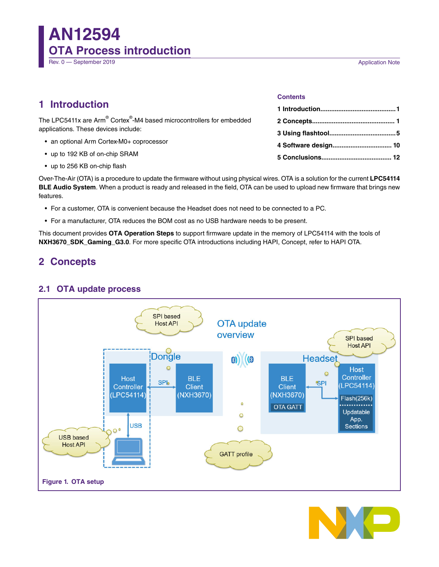**AN12594 OTA Process introduction** Rev. 0 — September 2019 **Application Note** 

# **1 Introduction**

The LPC5411x are Arm Cortex -M4 based microcontrollers for embedded applications. These devices include:

- an optional Arm Cortex-M0+ coprocessor
- up to 192 KB of on-chip SRAM
- up to 256 KB on-chip flash

#### **Contents**

| 4 Software design 10 |  |
|----------------------|--|
|                      |  |

Over-The-Air (OTA) is a procedure to update the firmware without using physical wires. OTA is a solution for the current **LPC54114 BLE Audio System**. When a product is ready and released in the field, OTA can be used to upload new firmware that brings new features.

- For a customer, OTA is convenient because the Headset does not need to be connected to a PC.
- For a manufacturer, OTA reduces the BOM cost as no USB hardware needs to be present.

This document provides **OTA Operation Steps** to support firmware update in the memory of LPC54114 with the tools of **NXH3670\_SDK\_Gaming\_G3.0**. For more specific OTA introductions including HAPI, Concept, refer to HAPI OTA.

# **2 Concepts**

## **2.1 OTA update process**



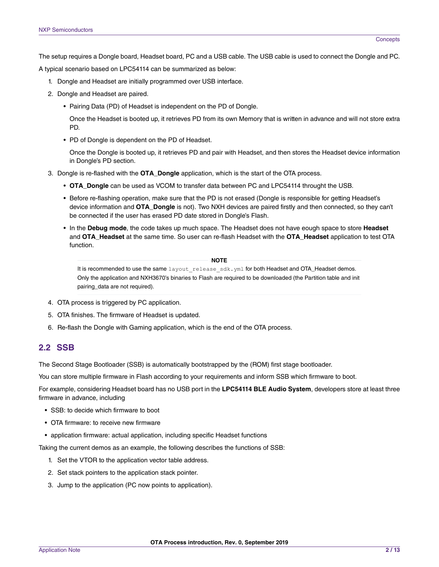The setup requires a Dongle board, Headset board, PC and a USB cable. The USB cable is used to connect the Dongle and PC.

A typical scenario based on LPC54114 can be summarized as below:

- 1. Dongle and Headset are initially programmed over USB interface.
- 2. Dongle and Headset are paired.
	- Pairing Data (PD) of Headset is independent on the PD of Dongle.

Once the Headset is booted up, it retrieves PD from its own Memory that is written in advance and will not store extra PD.

• PD of Dongle is dependent on the PD of Headset.

Once the Dongle is booted up, it retrieves PD and pair with Headset, and then stores the Headset device information in Dongle's PD section.

- 3. Dongle is re-flashed with the **OTA\_Dongle** application, which is the start of the OTA process.
	- **OTA\_Dongle** can be used as VCOM to transfer data between PC and LPC54114 throught the USB.
	- Before re-flashing operation, make sure that the PD is not erased (Dongle is responsible for getting Headset's device information and **OTA\_Dongle** is not). Two NXH devices are paired firstly and then connected, so they can't be connected if the user has erased PD date stored in Dongle's Flash.
	- In the **Debug mode**, the code takes up much space. The Headset does not have eough space to store **Headset** and **OTA\_Headset** at the same time. So user can re-flash Headset with the **OTA\_Headset** application to test OTA function.

#### **NOTE**

It is recommended to use the same layout release sdk.yml for both Headset and OTA\_Headset demos. Only the application and NXH3670's binaries to Flash are required to be downloaded (the Partition table and init pairing\_data are not required).

- 4. OTA process is triggered by PC application.
- 5. OTA finishes. The firmware of Headset is updated.
- 6. Re-flash the Dongle with Gaming application, which is the end of the OTA process.

### **2.2 SSB**

The Second Stage Bootloader (SSB) is automatically bootstrapped by the (ROM) first stage bootloader.

You can store multiple firmware in Flash according to your requirements and inform SSB which firmware to boot.

For example, considering Headset board has no USB port in the **LPC54114 BLE Audio System**, developers store at least three firmware in advance, including

- SSB: to decide which firmware to boot
- OTA firmware: to receive new firmware
- application firmware: actual application, including specific Headset functions

Taking the current demos as an example, the following describes the functions of SSB:

- 1. Set the VTOR to the application vector table address.
- 2. Set stack pointers to the application stack pointer.
- 3. Jump to the application (PC now points to application).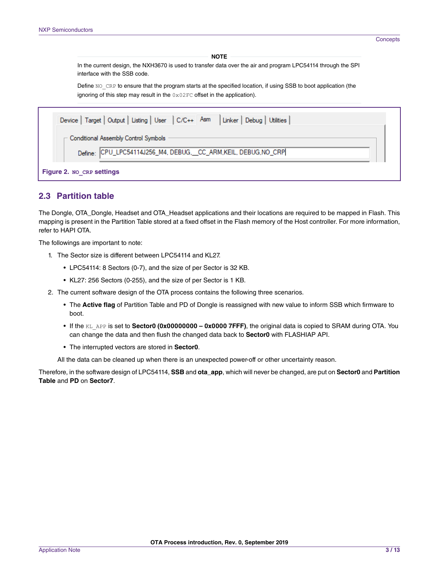**NOTE** 

In the current design, the NXH3670 is used to transfer data over the air and program LPC54114 through the SPI interface with the SSB code.

Define NO\_CRP to ensure that the program starts at the specified location, if using SSB to boot application (the ignoring of this step may result in the  $0 \times 02$  FC offset in the application).

| Device   Target   Output   Listing   User   C/C++   Asm   Linker   Debug   Utilities |  |  |  |  |  |
|--------------------------------------------------------------------------------------|--|--|--|--|--|
| $\sqsubset$ Conditional Assembly Control Symbols                                     |  |  |  |  |  |
| Define: CPU_LPC54114J256_M4, DEBUG,__CC_ARM,KEIL, DEBUG,NO_CRP                       |  |  |  |  |  |
| <b>Figure 2. NO CRP settings</b>                                                     |  |  |  |  |  |

### **2.3 Partition table**

The Dongle, OTA\_Dongle, Headset and OTA\_Headset applications and their locations are required to be mapped in Flash. This mapping is present in the Partition Table stored at a fixed offset in the Flash memory of the Host controller. For more information, refer to HAPI OTA.

The followings are important to note:

- 1. The Sector size is different between LPC54114 and KL27.
	- LPC54114: 8 Sectors (0-7), and the size of per Sector is 32 KB.
	- KL27: 256 Sectors (0-255), and the size of per Sector is 1 KB.
- 2. The current software design of the OTA process contains the following three scenarios.
	- The **Active flag** of Partition Table and PD of Dongle is reassigned with new value to inform SSB which firmware to boot.
	- If the KL\_APP is set to **Sector0 (0x00000000 0x0000 7FFF)**, the original data is copied to SRAM during OTA. You can change the data and then flush the changed data back to **Sector0** with FLASHIAP API.
	- The interrupted vectors are stored in **Sector0**.

All the data can be cleaned up when there is an unexpected power-off or other uncertainty reason.

Therefore, in the software design of LPC54114, **SSB** and **ota\_app**, which will never be changed, are put on **Sector0** and **Partition Table** and **PD** on **Sector7**.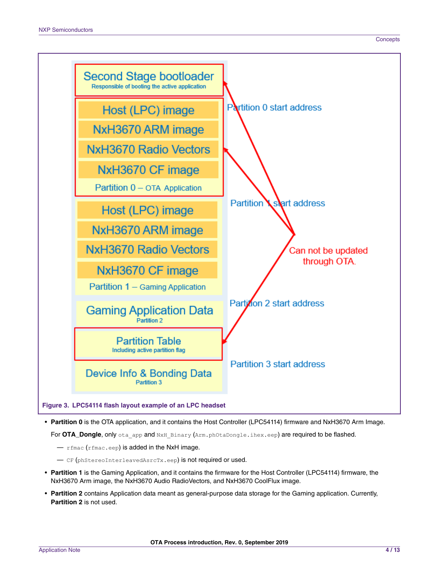

• **Partition 0** is the OTA application, and it contains the Host Controller (LPC54114) firmware and NxH3670 Arm Image.

For **OTA\_Dongle**, only ota app and NxH Binary (Arm.phOtaDongle.ihex.eep) are required to be flashed.

— rfmac (rfmac.eep) is added in the NxH image.

— CF (phStereoInterleavedAsrcTx.eep) is not required or used.

- **Partition 1** is the Gaming Application, and it contains the firmware for the Host Controller (LPC54114) firmware, the NxH3670 Arm image, the NxH3670 Audio RadioVectors, and NxH3670 CoolFlux image.
- **Partition 2** contains Application data meant as general-purpose data storage for the Gaming application. Currently, **Partition 2** is not used.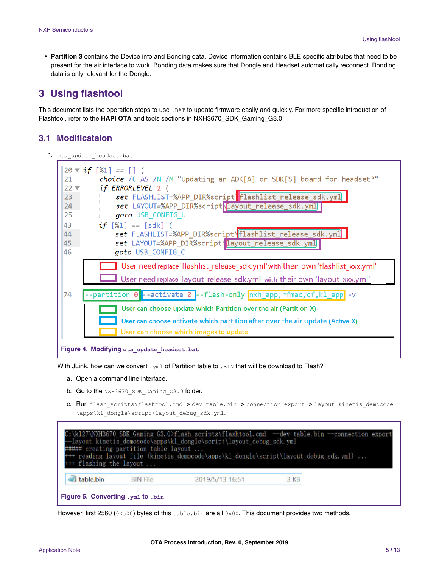<span id="page-4-0"></span>• **Partition 3** contains the Device info and Bonding data. Device information contains BLE specific attributes that need to be present for the air interface to work. Bonding data makes sure that Dongle and Headset automatically reconnect. Bonding data is only relevant for the Dongle.

# **3 Using flashtool**

This document lists the operation steps to use .BAT to update firmware easily and quickly. For more specific introduction of Flashtool, refer to the **HAPI OTA** and tools sections in NXH3670\_SDK\_Gaming\_G3.0.

## **3.1 Modificataion**

1. ota update headset.bat



With JLink, how can we convert .  $yml$  of Partition table to . BIN that will be download to Flash?

- a. Open a command line interface.
- b. Go to the NXH3670 SDK Gaming G3.0 folder.
- c. Run flash\_scripts\flashtool.cmd -> dev table.bin -> connection export -> layout kinetis\_democode \apps\kl\_dongle\script\layout\_debug\_sdk.yml.

| <sup>+++</sup> flashing the layout | ##### creating partition table layout | --Iayout kinetis_democode\apps\kl_dongle\script\layout_debug_sdk.yml | C:\k127\NXH3670 SDK Gaming G3.0>flash_scripts\flashtool.cmd --dev table.bin --connection export<br>+++ reading layout file (kinetis democode\apps\kl_dongle\script\layout_debug_sdk.yml) |  |  |  |  |  |
|------------------------------------|---------------------------------------|----------------------------------------------------------------------|------------------------------------------------------------------------------------------------------------------------------------------------------------------------------------------|--|--|--|--|--|
| table.bin                          | <b>BIN File</b>                       | 2019/5/13 16:51                                                      | 3KB                                                                                                                                                                                      |  |  |  |  |  |
| Figure 5. Converting . yml to .bin |                                       |                                                                      |                                                                                                                                                                                          |  |  |  |  |  |

However, first 2560 ( $0Xa00$ ) bytes of this table.bin are all  $0x00$ . This document provides two methods.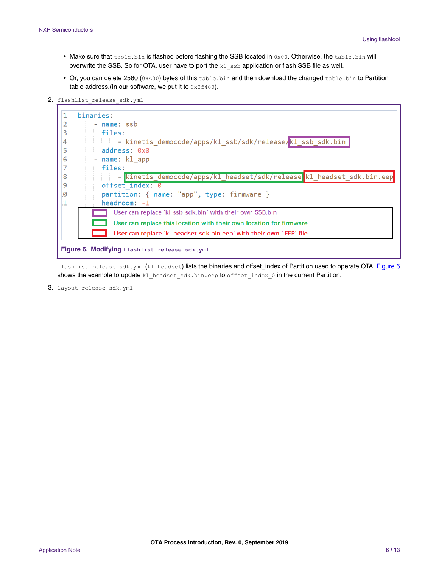- Make sure that table.bin is flashed before flashing the SSB located in 0x00. Otherwise, the table.bin will overwrite the SSB. So for OTA, user have to port the  $k1$  ssb application or flash SSB file as well.
- Or, you can delete 2560 (0xA00) bytes of this table.bin and then download the changed table.bin to Partition table address.(In our software, we put it to  $0 \times 3f400$ ).
- 2. flashlist release sdk.yml



flashlist release sdk.yml (kl\_headset) lists the binaries and offset\_index of Partition used to operate OTA. Figure 6 shows the example to update kl\_headset\_sdk.bin.eep to offset\_index\_0 in the current Partition.

3. layout release sdk.yml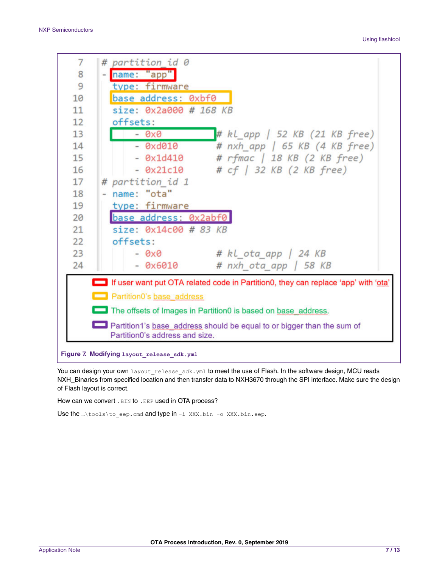

You can design your own layout release sdk.yml to meet the use of Flash. In the software design, MCU reads NXH\_Binaries from specified location and then transfer data to NXH3670 through the SPI interface. Make sure the design of Flash layout is correct.

How can we convert . BIN to . EEP used in OTA process?

Use the …\tools\to eep.cmd and type in -i XXX.bin -o XXX.bin.eep.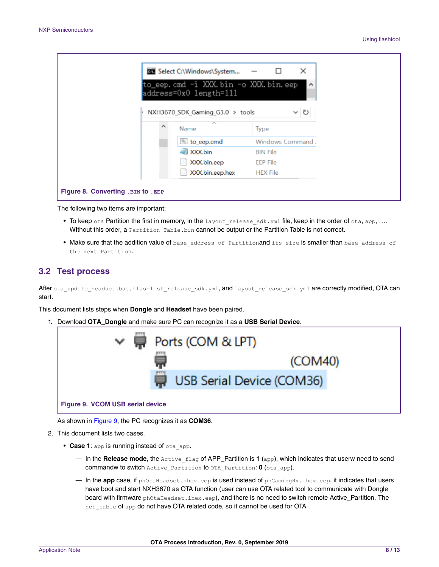|                                     | <b>BB</b> Select C:\Windows\System                             | ×<br>$\Box$<br>$\overline{\phantom{0}}$ |  |
|-------------------------------------|----------------------------------------------------------------|-----------------------------------------|--|
|                                     | to_eep.cmd -i XXX.bin -o XXX.bin.eep<br>address=0x0 length=111 | $\hat{\phantom{a}}$                     |  |
|                                     | NXH3670_SDK_Gaming_G3.0 > tools<br>×<br>۸<br>Name              | ৺ ∩<br>Type                             |  |
|                                     | to eep.cmd                                                     | Windows Command.                        |  |
|                                     | XXX.bin                                                        | <b>BIN File</b>                         |  |
|                                     | XXX.bin.eep<br>XXX.bin.eep.hex                                 | EEP File<br><b>HEX File</b>             |  |
|                                     |                                                                |                                         |  |
| Figure 8. Converting . BIN to . EEP |                                                                |                                         |  |

The following two items are important;

- To keep ota Partition the first in memory, in the layout release sdk.  $y$ ml file, keep in the order of ota, app, .... WIthout this order, a Partition Table.bin cannot be output or the Partition Table is not correct.
- Make sure that the addition value of base address of Partitionand its size is smaller than base address of the next Partition.

#### **3.2 Test process**

After ota update headset.bat, flashlist release sdk.yml, and layout release sdk.yml are correctly modified, OTA can start.

This document lists steps when **Dongle** and **Headset** have been paired.

1. Download **OTA\_Dongle** and make sure PC can recognize it as a **USB Serial Device**.



As shown in Figure 9, the PC recognizes it as **COM36**.

- 2. This document lists two cases.
	- **Case 1**: app is running instead of ota\_app.
		- In the **Release mode**, the Active\_flag of APP\_Partition is **1** (app), which indicates that userw need to send commandw to switch Active\_Partition to OTA\_Partition: **0** (ota\_app).
		- In the **app** case, if phOtaHeadset.ihex.eep is used instead of phGamingRx.ihex.eep, it indicates that users have boot and start NXH3670 as OTA function (user can use OTA related tool to communicate with Dongle board with firmware phOtaHeadset.ihex.eep), and there is no need to switch remote Active\_Partition. The hci table of app do not have OTA related code, so it cannot be used for OTA.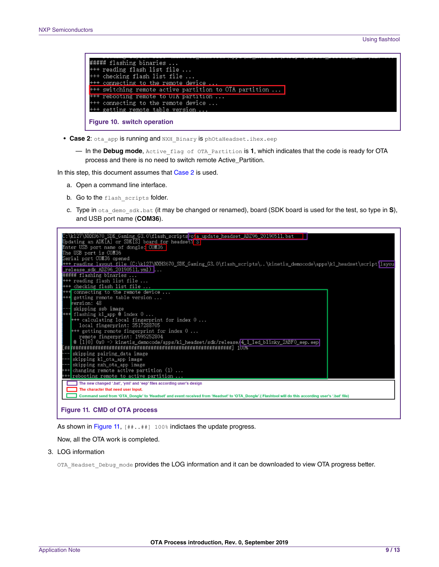| ##### flashing binaries                                |
|--------------------------------------------------------|
| +++ reading flash list file                            |
| +++ checking flash list file                           |
| +++ connecting to the remote device                    |
| +++ switching remote active partition to OTA partition |
| +++ rebooting remote to UIA partition                  |
| +++ connecting to the remote device                    |
| +++ getting remote table version                       |
| Figure 10. switch operation                            |

- Case 2: ota app is running and NXH Binary is phOtaHeadset.ihex.eep
	- In the **Debug mode**, Active\_flag of OTA\_Partition is **1**, which indicates that the code is ready for OTA process and there is no need to switch remote Active\_Partition.

In this step, this document assumes that Case 2 is used.

- a. Open a command line interface.
- b. Go to the flash scripts folder.
- c. Type in ota\_demo\_sdk.bat (it may be changed or renamed), board (SDK board is used for the test, so type in **S**),



As shown in Figure 11,  $[***]$  100% indictaes the update progress.

Now, all the OTA work is completed.

3. LOG information

OTA Headset Debug mode provides the LOG information and it can be downloaded to view OTA progress better.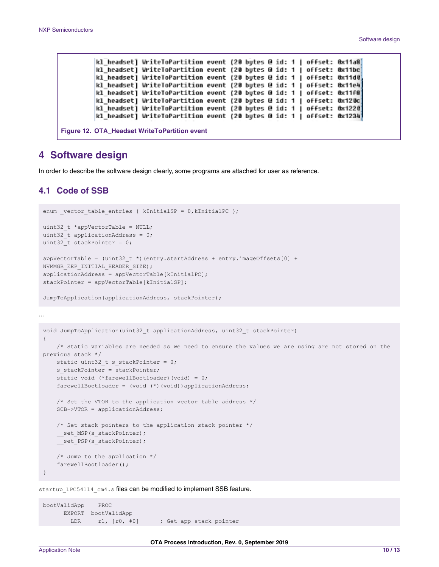<span id="page-9-0"></span>

|  | kl headset] WriteToPartition event (20 bytes @ id: 1   offset: 0x11a8] |  |  |  |  |  |
|--|------------------------------------------------------------------------|--|--|--|--|--|
|  | kl headset] WriteToPartition event (20 butes @ id: 1   offset: 0x11bc] |  |  |  |  |  |
|  | kl headset] WriteToPartition event (20 bytes @ id: 1   offset: 0x11d0, |  |  |  |  |  |
|  | kl_headset] WriteToPartition event (20 bytes @ id: 1   offset: 0x11e4] |  |  |  |  |  |
|  | kl headset] WriteToPartition event (20 butes @ id: 1   offset: 0x11f8) |  |  |  |  |  |
|  | kl headset] WriteToPartition event (20 bytes @ id: 1   offset: 0x120c] |  |  |  |  |  |
|  | kl headset] WriteToPartition event (20 bytes @ id: 1   offset: 0x1220] |  |  |  |  |  |
|  | kl headset] WriteToPartition event (20 bytes @ id: 1   offset: 0x1234] |  |  |  |  |  |

## **4 Software design**

In order to describe the software design clearly, some programs are attached for user as reference.

## **4.1 Code of SSB**

```
enum vector table entries { kInitialSP = 0, kInitialPC };
uint32 t *appVectorTable = NULL;
uint32 t applicationAddress = 0;uint32 t stackPointer = 0;appVectorTable = (uint32 t *)(entry.startAddress + entry.imageOffsets[0] +
NVMMGR_EEP_INITIAL_HEADER_SIZE);
applicationAddress = appVectorTable[kInitialPC];
stackPointer = appVectorTable[kInitialSP];
JumpToApplication(applicationAddress, stackPointer);
```
...

```
void JumpToApplication(uint32_t applicationAddress, uint32_t stackPointer)
{
   /* Static variables are needed as we need to ensure the values we are using are not stored on the
previous stack */
   static uint32_t s_stackPointer = 0;
   s stackPointer = stackPointer;
   static void (*farewellBootloader)(void) = 0;
   farewellBootloader = (void (*)(void))applicationAddress;
   /* Set the VTOR to the application vector table address */SCB->VTOR = applicationAddress;
   /* Set stack pointers to the application stack pointer */
   __set_MSP(s_stackPointer);
    __set_PSP(s_stackPointer);
   /* Jump to the application */
   farewellBootloader();
}
```
startup LPC54114 cm4.s files can be modified to implement SSB feature.

bootValidApp PROC EXPORT bootValidApp LDR r1, [r0, #0] ; Get app stack pointer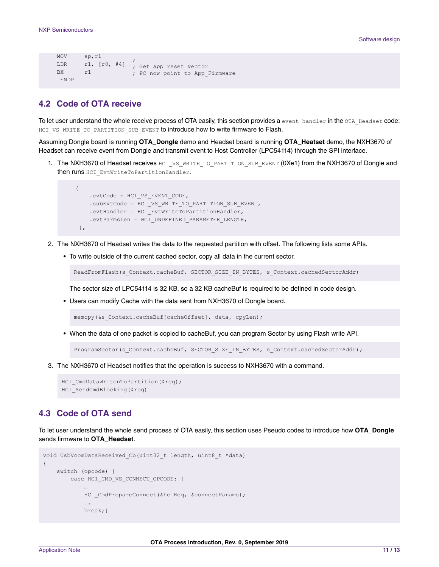```
MOV sp, r1
LDR r1, [r0, #4]
; Get app reset vector
BX r1
                ;
         ; PC now point to App_Firmware
ENDP
```
## **4.2 Code of OTA receive**

To let user understand the whole receive process of OTA easily, this section provides a event handler in the OTA Headset code: HCI VS WRITE TO PARTITION SUB EVENT to introduce how to write firmware to Flash.

Assuming Dongle board is running **OTA\_Dongle** demo and Headset board is running **OTA\_Heatset** demo, the NXH3670 of Headset can receive event from Dongle and transmit event to Host Controller (LPC54114) through the SPI interface.

1. The NXH3670 of Headset receives HCI\_VS\_WRITE\_TO\_PARTITION\_SUB\_EVENT (0Xe1) from the NXH3670 of Dongle and then runs HCI EvtWriteToPartitionHandler.

```
{
   .evtCode = HCI VS EVENT CODE,
    .subEvtCode = HCI VS WRITE TO PARTITION SUB EVENT,
   .evtHandler = HCI_EvtWriteToPartitionHandler,
   .evtParmsLen = HCI_UNDEFINED_PARAMETER_LENGTH,
},
```
- 2. The NXH3670 of Headset writes the data to the requested partition with offset. The following lists some APIs.
	- To write outside of the current cached sector, copy all data in the current sector.

ReadFromFlash(s Context.cacheBuf, SECTOR SIZE IN BYTES, s Context.cachedSectorAddr)

The sector size of LPC54114 is 32 KB, so a 32 KB cacheBuf is required to be defined in code design.

• Users can modify Cache with the data sent from NXH3670 of Dongle board.

memcpy(&s Context.cacheBuf[cacheOffset], data, cpyLen);

• When the data of one packet is copied to cacheBuf, you can program Sector by using Flash write API.

ProgramSector(s Context.cacheBuf, SECTOR SIZE IN BYTES, s Context.cachedSectorAddr);

3. The NXH3670 of Headset notifies that the operation is success to NXH3670 with a command.

```
HCI CmdDataWritenToPartition(&req);
HCI_SendCmdBlocking(&req)
```
## **4.3 Code of OTA send**

To let user understand the whole send process of OTA easily, this section uses Pseudo codes to introduce how **OTA\_Dongle** sends firmware to **OTA\_Headset**.

```
void UsbVcomDataReceived_Cb(uint32_t length, uint8_t *data)
{
   switch (opcode) {
        case HCI CMD VS CONNECT OPCODE: {
            …
            HCI CmdPrepareConnect(&hciReq, &connectParams);
            ….
            break;}
```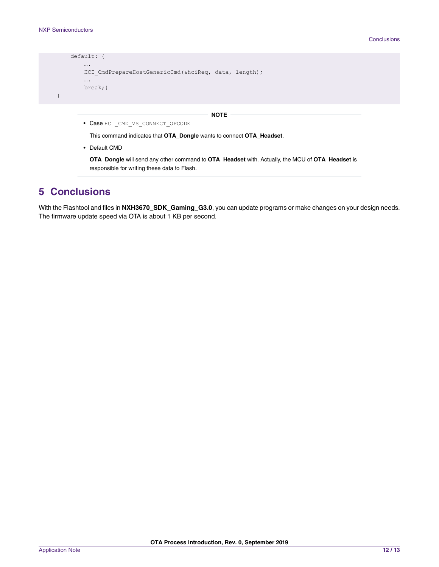<span id="page-11-0"></span>

| default: f                                                       |
|------------------------------------------------------------------|
| $\cdots$<br>HCI CmdPrepareHostGenericCmd(&hciReq, data, length); |
| $\cdots$<br>$break;$ }                                           |
|                                                                  |

#### **NOTE**

• Case HCI CMD VS CONNECT OPCODE

This command indicates that **OTA\_Dongle** wants to connect **OTA\_Headset**.

• Default CMD

**OTA\_Dongle** will send any other command to **OTA\_Headset** with. Actually, the MCU of **OTA\_Headset** is responsible for writing these data to Flash.

# **5 Conclusions**

With the Flashtool and files in **NXH3670\_SDK\_Gaming\_G3.0**, you can update programs or make changes on your design needs. The firmware update speed via OTA is about 1 KB per second.